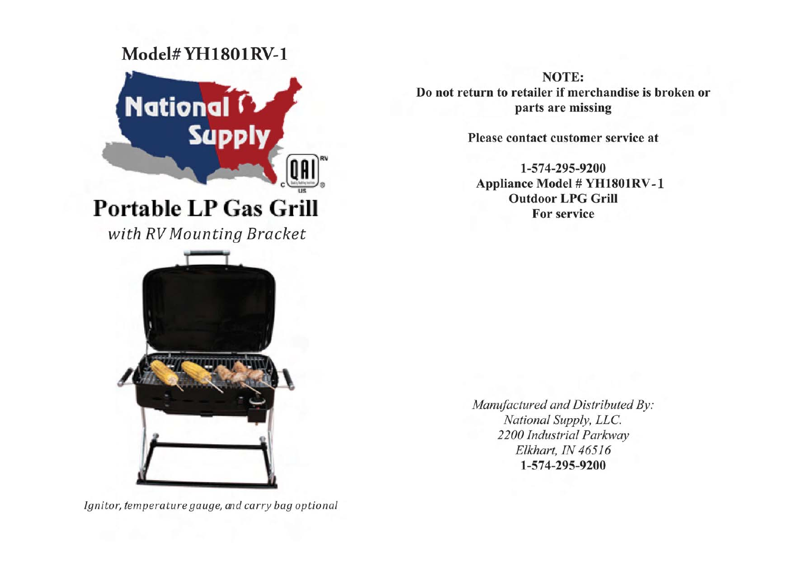# Model#YH1801RV-1



with RV Mounting Bracket



Ignitor, temperature gauge, and carry bag optional

NOTE: Do not return to retailer if merchandise is broken or parts are missing

Please contact customer service at

1-574-295-9200 **Appliance Model # YH1801RV-1 Outdoor LPG Grill For service** 

Manufactured and Distributed By: National Supply, LLC. 2200 Industrial Parkway Elkhart, IN 46516 1-574-295-9200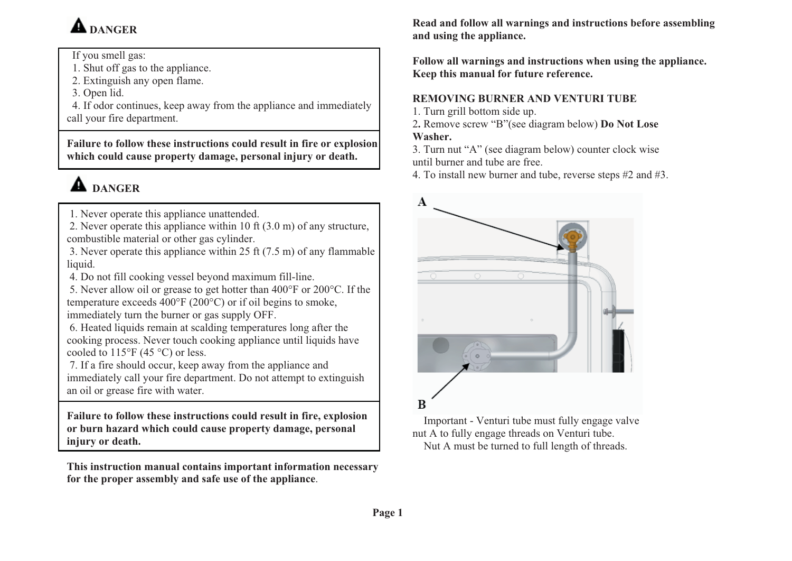# **A** DANGER

If you smell gas:

1. Shut off gas to the appliance.

2. Extinguish any open flame.

3. Open lid.

 4. If odor continues, keep away from the appliance and immediately call your fire department.

**Failure to follow these instructions could result in fire or explosion which could cause property damage, personal injury or death.** 

# **A** DANGER

1. Never operate this appliance unattended.

 2. Never operate this appliance within 10 ft (3.0 m) of any structure, combustible material or other gas cylinder.

- 3. Never operate this appliance within 25 ft (7.5 m) of any flammable liquid.
- 4. Do not fill cooking vessel beyond maximum fill-line.

 5. Never allow oil or grease to get hotter than 400°F or 200°C. If the temperature exceeds 400°F (200°C) or if oil begins to smoke, immediately turn the burner or gas supply OFF.

 6. Heated liquids remain at scalding temperatures long after the cooking process. Never touch cooking appliance until liquids have cooled to  $115^{\circ}$ F (45 °C) or less.

 7. If a fire should occur, keep away from the appliance and immediately call your fire department. Do not attempt to extinguish an oil or grease fire with water.

**Failure to follow these instructions could result in fire, explosion or burn hazard which could cause property damage, personal injury or death.** 

**This instruction manual contains important information necessary for the proper assembly and safe use of the appliance**.

**Read and follow all warnings and instructions before assembling and using the appliance.** 

**Follow all warnings and instructions when using the appliance. Keep this manual for future reference.** 

### **REMOVING BURNER AND VENTURI TUBE**

- 1. Turn grill bottom side up.
- 2**.** Remove screw "B"(see diagram below) **Do Not Lose Washer.**
- 3. Turn nut "A" (see diagram below) counter clock wise until burner and tube are free.
- 4. To install new burner and tube, reverse steps #2 and #3.



Important - Venturi tube must fully engage valve nut A to fully engage threads on Venturi tube. Nut A must be turned to full length of threads.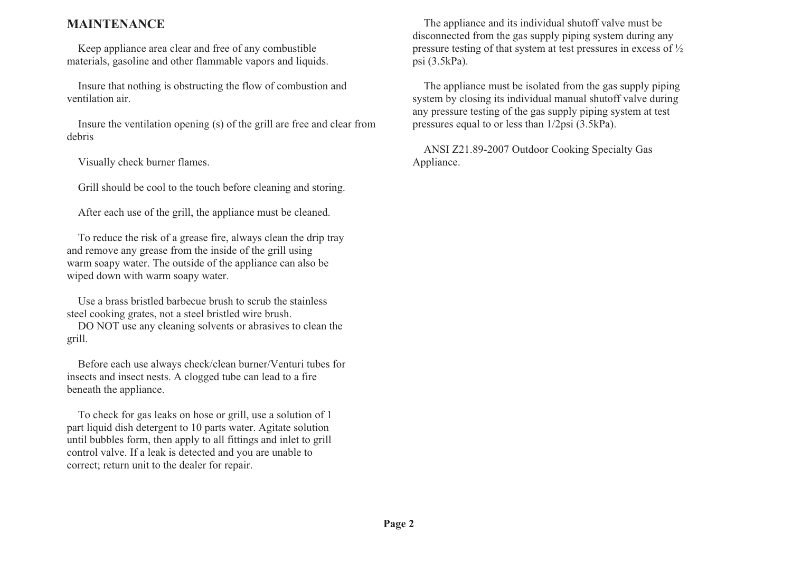#### **MAINTENANCE**

 Keep appliance area clear and free of any combustible materials, gasoline and other flammable vapors and liquids.

 Insure that nothing is obstructing the flow of combustion and ventilation air.

 Insure the ventilation opening (s) of the grill are free and clear from debris

Visually check burner flames.

Grill should be cool to the touch before cleaning and storing.

After each use of the grill, the appliance must be cleaned.

 To reduce the risk of a grease fire, always clean the drip tray and remove any grease from the inside of the grill using warm soapy water. The outside of the appliance can also be wiped down with warm soapy water.

 Use a brass bristled barbecue brush to scrub the stainless steel cooking grates, not a steel bristled wire brush.

 DO NOT use any cleaning solvents or abrasives to clean the grill.

 Before each use always check/clean burner/Venturi tubes for insects and insect nests. A clogged tube can lead to a fire beneath the appliance.

 To check for gas leaks on hose or grill, use a solution of 1 part liquid dish detergent to 10 parts water. Agitate solution until bubbles form, then apply to all fittings and inlet to grill control valve. If a leak is detected and you are unable to correct; return unit to the dealer for repair.

 The appliance and its individual shutoff valve must be disconnected from the gas supply piping system during any pressure testing of that system at test pressures in excess of ½ psi (3.5kPa).

 The appliance must be isolated from the gas supply piping system by closing its individual manual shutoff valve during any pressure testing of the gas supply piping system at test pressures equal to or less than 1/2psi (3.5kPa).

 ANSI Z21.89-2007 Outdoor Cooking Specialty Gas Appliance.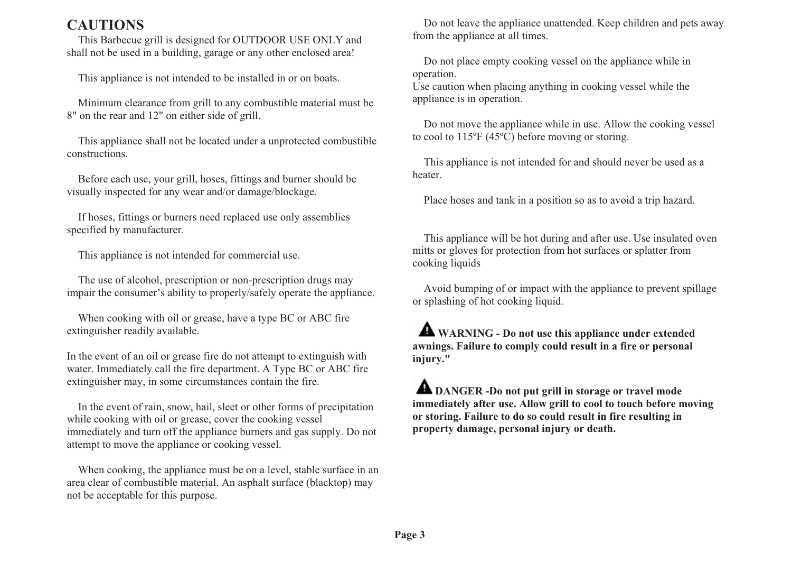# **CAUTIONS**

This Barbecue grill is designed for OUTDOOR USE ONLY and shall not be used in a building, garage or any other enclosed area!

This appliance is not intended to be installed in or on boats.

Minimum clearance from grill to any combustible material must be 8" on the rear and 12" on either side of grill.

This appliance shall not be located under a unprotected combustible constructions.

Before each use, your grill, hoses, fittings and burner should be visually inspected for any wear and/or damage/blockage.

If hoses, fittings or burners need replaced use only assemblies specified by manufacturer.

This appliance is not intended for commercial use.

The use of alcohol, prescription or non-prescription drugs may impair the consumer's ability to properly/safely operate the appliance.

When cooking with oil or grease, have a type BC or ABC fire extinguisher readily available.

In the event of an oil or grease fire do not attempt to extinguish with water. Immediately call the fire department. A Type BC or ABC fire extinguisher may, in some circumstances contain the fire.

 In the event of rain, snow, hail, sleet or other forms of precipitation while cooking with oil or grease, cover the cooking vessel immediately and turn off the appliance burners and gas supply. Do not attempt to move the appliance or cooking vessel.

When cooking, the appliance must be on a level, stable surface in an area clear of combustible material. An asphalt surface (blacktop) may not be acceptable for this purpose.

Do not leave the appliance unattended. Keep children and pets away from the appliance at all times.

Do not place empty cooking vessel on the appliance while in operation.

Use caution when placing anything in cooking vessel while the appliance is in operation.

Do not move the appliance while in use. Allow the cooking vessel to cool to 115ºF (45ºC) before moving or storing.

This appliance is not intended for and should never be used as a heater.

Place hoses and tank in a position so as to avoid a trip hazard.

 This appliance will be hot during and after use. Use insulated oven mitts or gloves for protection from hot surfaces or splatter from cooking liquids

 Avoid bumping of or impact with the appliance to prevent spillage or splashing of hot cooking liquid.

 **WARNING - Do not use this appliance under extended awnings. Failure to comply could result in a fire or personal injury."**

**A** DANGER -Do not put grill in storage or travel mode **immediately after use. Allow grill to cool to touch before moving or storing. Failure to do so could result in fire resulting in property damage, personal injury or death.**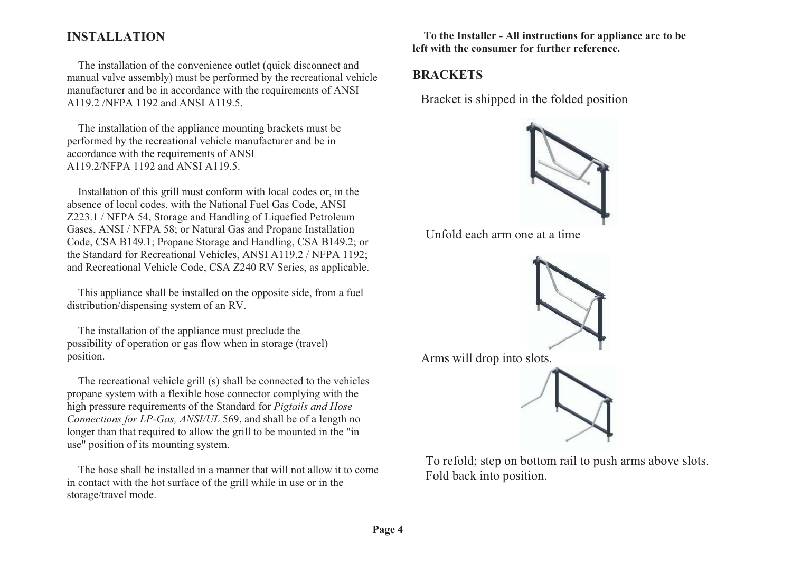### **INSTALLATION**

The installation of the convenience outlet (quick disconnect and manual valve assembly) must be performed by the recreational vehicle manufacturer and be in accordance with the requirements of ANSI A119.2 /NFPA 1192 and ANSI A119.5.

The installation of the appliance mounting brackets must be performed by the recreational vehicle manufacturer and be in accordance with the requirements of ANSI A119.2/NFPA 1192 and ANSI A119.5.

Installation of this grill must conform with local codes or, in the absence of local codes, with the National Fuel Gas Code, ANSI Z223.1 / NFPA 54, Storage and Handling of Liquefied Petroleum Gases, ANSI / NFPA 58; or Natural Gas and Propane Installation Code, CSA B149.1; Propane Storage and Handling, CSA B149.2; or the Standard for Recreational Vehicles, ANSI A119.2 / NFPA 1192; and Recreational Vehicle Code, CSA Z240 RV Series, as applicable.

This appliance shall be installed on the opposite side, from a fuel distribution/dispensing system of an RV.

The installation of the appliance must preclude the possibility of operation or gas flow when in storage (travel) position.

 The recreational vehicle grill (s) shall be connected to the vehicles propane system with a flexible hose connector complying with the high pressure requirements of the Standard for *Pigtails and Hose Connections for LP-Gas, ANSI/UL* 569, and shall be of a length no longer than that required to allow the grill to be mounted in the "in use" position of its mounting system.

 The hose shall be installed in a manner that will not allow it to come in contact with the hot surface of the grill while in use or in the storage/travel mode.

**To the Installer - All instructions for appliance are to be left with the consumer for further reference.** 

#### **BRACKETS**

Bracket is shipped in the folded position



Unfold each arm one at a time



Arms will drop into slots.



To refold; step on bottom rail to push arms above slots. Fold back into position.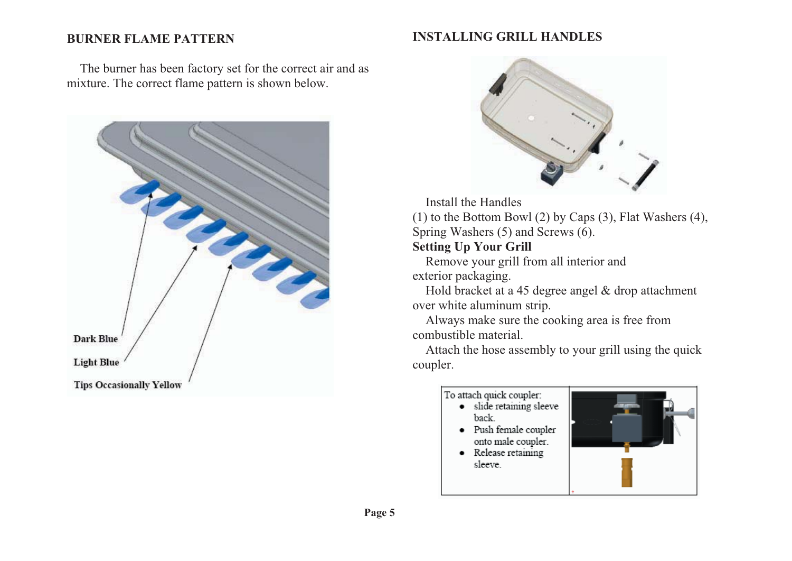#### **BURNER FLAME PATTERN**

#### **INSTALLING GRILL HANDLES**

The burner has been factory set for the correct air and as mixture. The correct flame pattern is shown below.





#### Install the Handles

(1) to the Bottom Bowl (2) by Caps (3), Flat Washers (4), Spring Washers (5) and Screws (6).

#### **Setting Up Your Grill**

Remove your grill from all interior and exterior packaging.

Hold bracket at a 45 degree angel & drop attachment over white aluminum strip.

Always make sure the cooking area is free from combustible material.

Attach the hose assembly to your grill using the quick coupler.

#### To attach quick coupler: · slide retaining sleeve back · Push female coupler

- onto male coupler.
- Release retaining sleeve.

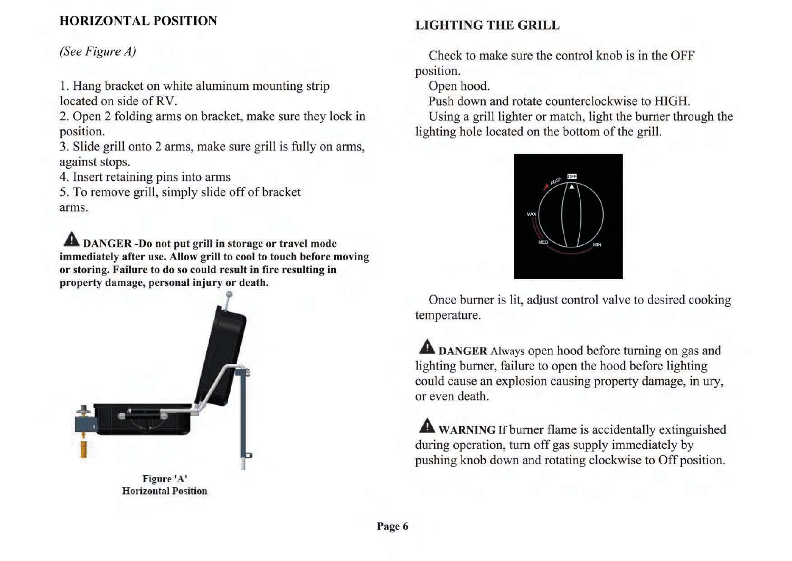# **HORIZONTAL POSITION**

# (See Figure A)

1. Hang bracket on white aluminum mounting strip located on side of RV.

2. Open 2 folding arms on bracket, make sure they lock in position.

3. Slide grill onto 2 arms, make sure grill is fully on arms, against stops.

4. Insert retaining pins into arms

5. To remove grill, simply slide off of bracket arms.

**A DANGER-Do not put grill in storage or travel mode** immediately after use. Allow grill to cool to touch before moving or storing. Failure to do so could result in fire resulting in property damage, personal injury or death.



Figure 'A' **Horizontal Position** 

# **LIGHTING THE GRILL**

Check to make sure the control knob is in the OFF position.

Open hood.

Push down and rotate counterclockwise to HIGH.

Using a grill lighter or match, light the burner through the lighting hole located on the bottom of the grill.



Once burner is lit, adjust control valve to desired cooking temperature.

**A** DANGER Always open hood before turning on gas and lighting burner, failure to open the hood before lighting could cause an explosion causing property damage, in ury, or even death.

**A** WARNING If burner flame is accidentally extinguished during operation, turn off gas supply immediately by pushing knob down and rotating clockwise to Off position.